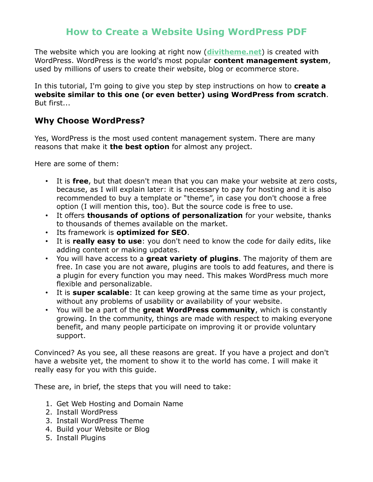# **How to Create a Website Using WordPress PDF**

The website which you are looking at right now (**[divitheme.net](https://divitheme.net/)**) is created with WordPress. WordPress is the world's most popular **content management system**, used by millions of users to create their website, blog or ecommerce store.

In this tutorial, I'm going to give you step by step instructions on how to **create a website similar to this one (or even better) using WordPress from scratch**. But first...

#### **Why Choose WordPress?**

Yes, WordPress is the most used content management system. There are many reasons that make it **the best option** for almost any project.

Here are some of them:

- It is **free**, but that doesn't mean that you can make your website at zero costs, because, as I will explain later: it is necessary to pay for hosting and it is also recommended to buy a template or "theme", in case you don't choose a free option (I will mention this, too). But the source code is free to use.
- It offers **thousands of options of personalization** for your website, thanks to thousands of themes available on the market.
- Its framework is **optimized for SEO**.
- It is **really easy to use**: you don't need to know the code for daily edits, like adding content or making updates.
- You will have access to a **great variety of plugins**. The majority of them are free. In case you are not aware, plugins are tools to add features, and there is a plugin for every function you may need. This makes WordPress much more flexible and personalizable.
- It is **super scalable**: It can keep growing at the same time as your project, without any problems of usability or availability of your website.
- You will be a part of the **great WordPress community**, which is constantly growing. In the community, things are made with respect to making everyone benefit, and many people participate on improving it or provide voluntary support.

Convinced? As you see, all these reasons are great. If you have a project and don't have a website yet, the moment to show it to the world has come. I will make it really easy for you with this guide.

These are, in brief, the steps that you will need to take:

- 1. Get Web Hosting and Domain Name
- 2. Install WordPress
- 3. Install WordPress Theme
- 4. Build your Website or Blog
- 5. Install Plugins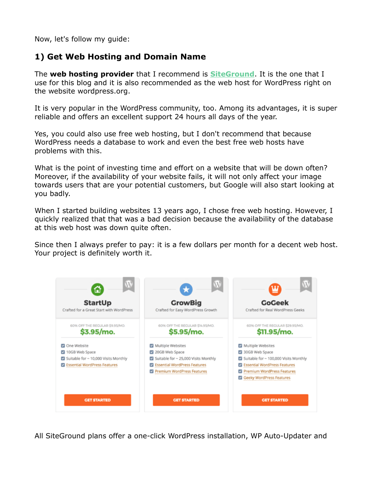Now, let's follow my guide:

### **1) Get Web Hosting and Domain Name**

The **web hosting provider** that I recommend is **[SiteGround](https://divitheme.net/go/siteground-wordpress)**. It is the one that I use for this blog and it is also recommended as the web host for WordPress right on the website wordpress.org.

It is very popular in the WordPress community, too. Among its advantages, it is super reliable and offers an excellent support 24 hours all days of the year.

Yes, you could also use free web hosting, but I don't recommend that because WordPress needs a database to work and even the best free web hosts have problems with this.

What is the point of investing time and effort on a website that will be down often? Moreover, if the availability of your website fails, it will not only affect your image towards users that are your potential customers, but Google will also start looking at you badly.

When I started building websites 13 years ago, I chose free web hosting. However, I quickly realized that that was a bad decision because the availability of the database at this web host was down quite often.

Since then I always prefer to pay: it is a few dollars per month for a decent web host. Your project is definitely worth it.



All SiteGround plans offer a one-click WordPress installation, WP Auto-Updater and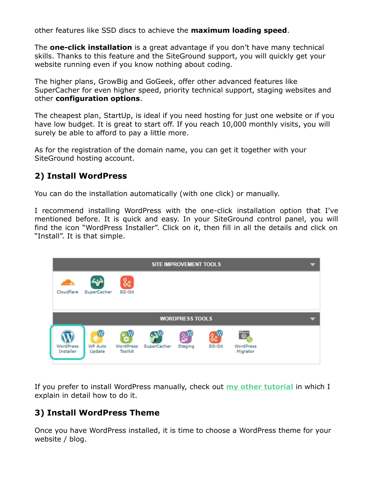other features like SSD discs to achieve the **maximum loading speed**.

The **one-click installation** is a great advantage if you don't have many technical skills. Thanks to this feature and the SiteGround support, you will quickly get your website running even if you know nothing about coding.

The higher plans, GrowBig and GoGeek, offer other advanced features like SuperCacher for even higher speed, priority technical support, staging websites and other **configuration options**.

The cheapest plan, StartUp, is ideal if you need hosting for just one website or if you have low budget. It is great to start off. If you reach 10,000 monthly visits, you will surely be able to afford to pay a little more.

As for the registration of the domain name, you can get it together with your SiteGround hosting account.

### **2) Install WordPress**

You can do the installation automatically (with one click) or manually.

I recommend installing WordPress with the one-click installation option that I've mentioned before. It is quick and easy. In your SiteGround control panel, you will find the icon "WordPress Installer". Click on it, then fill in all the details and click on "Install". It is that simple.



If you prefer to install WordPress manually, check out **[my other tutorial](https://divitheme.net/how-to-install-wordpress-secure/)** in which I explain in detail how to do it.

## **3) Install WordPress Theme**

Once you have WordPress installed, it is time to choose a WordPress theme for your website / blog.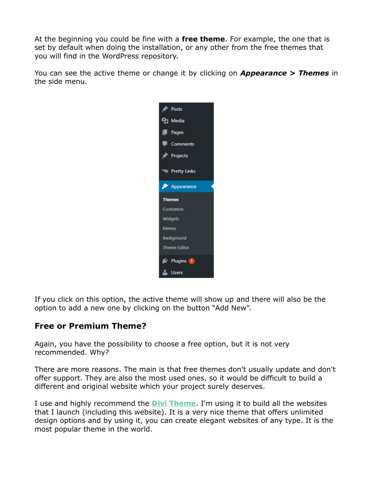At the beginning you could be fine with a **free theme**. For example, the one that is set by default when doing the installation, or any other from the free themes that you will find in the WordPress repository.

You can see the active theme or change it by clicking on *Appearance > Themes* in the side menu.



If you click on this option, the active theme will show up and there will also be the option to add a new one by clicking on the button "Add New".

#### **Free or Premium Theme?**

Again, you have the possibility to choose a free option, but it is not very recommended. Why?

There are more reasons. The main is that free themes don't usually update and don't offer support. They are also the most used ones, so it would be difficult to build a different and original website which your project surely deserves.

I use and highly recommend the **[DiviTheme](https://divitheme.co/)**. I'm using it to build all the websites that I launch (including this website). It is a very nice theme that offers unlimited design options and by using it, you can create elegant websites of any type. It is the most popular theme in the world.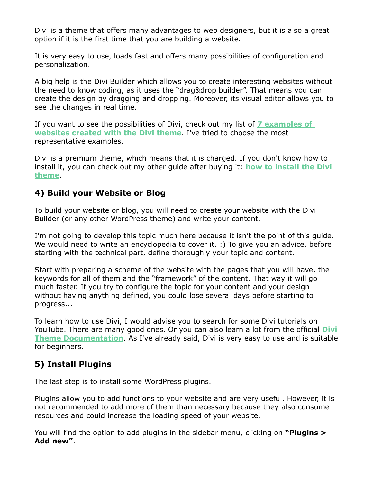Divi is a theme that offers many advantages to web designers, but it is also a great option if it is the first time that you are building a website.

It is very easy to use, loads fast and offers many possibilities of configuration and personalization.

A big help is the Divi Builder which allows you to create interesting websites without the need to know coding, as it uses the "drag&drop builder". That means you can create the design by dragging and dropping. Moreover, its visual editor allows you to see the changes in real time.

If you want to see the possibilities of Divi, check out my list of **[7 examples of](https://divitheme.net/divi-theme-examples/)   [websites created with the Divi theme](https://divitheme.net/divi-theme-examples/)**. I've tried to choose the most representative examples.

Divi is a premium theme, which means that it is charged. If you don't know how to install it, you can check out my other guide after buying it: **[how to install the Divi](https://divitheme.net/how-to-install-divi-theme/) [theme](https://divitheme.net/how-to-install-divi-theme/)**.

### **4) Build your Website or Blog**

To build your website or blog, you will need to create your website with the Divi Builder (or any other WordPress theme) and write your content.

I'm not going to develop this topic much here because it isn't the point of this guide. We would need to write an encyclopedia to cover it. :) To give you an advice, before starting with the technical part, define thoroughly your topic and content.

Start with preparing a scheme of the website with the pages that you will have, the keywords for all of them and the "framework" of the content. That way it will go much faster. If you try to configure the topic for your content and your design without having anything defined, you could lose several days before starting to progress...

To learn how to use Divi, I would advise you to search for some Divi tutorials on YouTube. There are many good ones. Or you can also learn a lot from the official **[Divi](https://www.elegantthemes.com/documentation/divi/) [Theme Documentation](https://www.elegantthemes.com/documentation/divi/)**. As I've already said, Divi is very easy to use and is suitable for beginners.

## **5) Install Plugins**

The last step is to install some WordPress plugins.

Plugins allow you to add functions to your website and are very useful. However, it is not recommended to add more of them than necessary because they also consume resources and could increase the loading speed of your website.

You will find the option to add plugins in the sidebar menu, clicking on **"Plugins > Add new"**.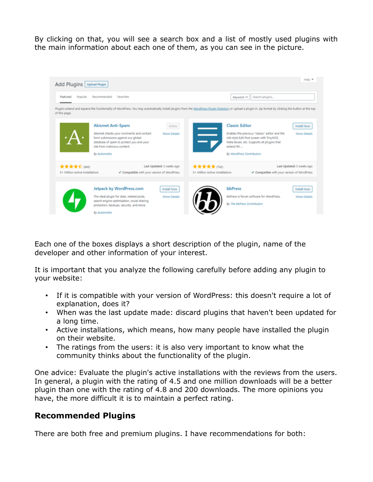By clicking on that, you will see a search box and a list of mostly used plugins with the main information about each one of them, as you can see in the picture.



Each one of the boxes displays a short description of the plugin, name of the developer and other information of your interest.

It is important that you analyze the following carefully before adding any plugin to your website:

- If it is compatible with your version of WordPress: this doesn't require a lot of explanation, does it?
- When was the last update made: discard plugins that haven't been updated for a long time.
- Active installations, which means, how many people have installed the plugin on their website.
- The ratings from the users: it is also very important to know what the community thinks about the functionality of the plugin.

One advice: Evaluate the plugin's active installations with the reviews from the users. In general, a plugin with the rating of 4.5 and one million downloads will be a better plugin than one with the rating of 4.8 and 200 downloads. The more opinions you have, the more difficult it is to maintain a perfect rating.

#### **Recommended Plugins**

There are both free and premium plugins. I have recommendations for both: